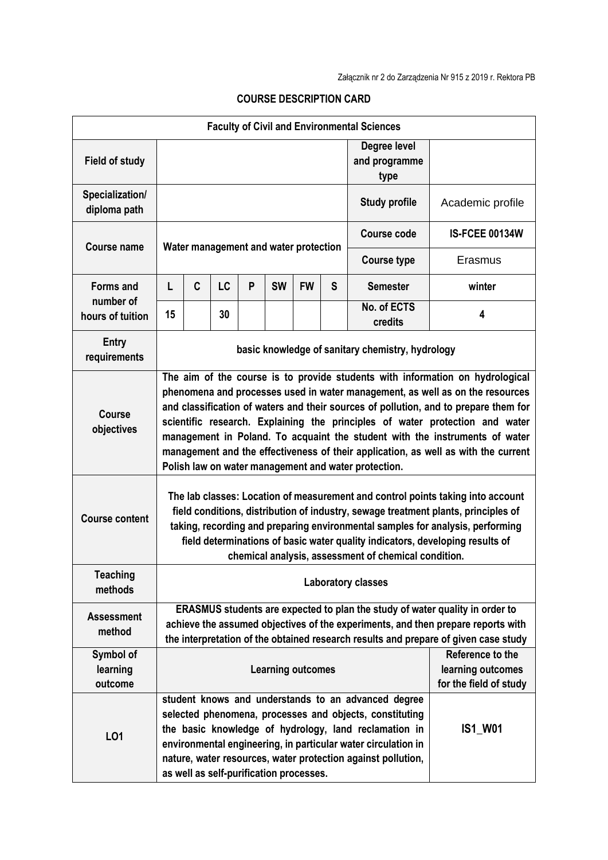| <b>Faculty of Civil and Environmental Sciences</b> |                                                                                                                                                                                                                                                                                                                                                                                                                                                                                                                                                                     |   |    |   |           |                                         |                                       |                                                                                                                                                                                                                                                                                                          |                                                                 |
|----------------------------------------------------|---------------------------------------------------------------------------------------------------------------------------------------------------------------------------------------------------------------------------------------------------------------------------------------------------------------------------------------------------------------------------------------------------------------------------------------------------------------------------------------------------------------------------------------------------------------------|---|----|---|-----------|-----------------------------------------|---------------------------------------|----------------------------------------------------------------------------------------------------------------------------------------------------------------------------------------------------------------------------------------------------------------------------------------------------------|-----------------------------------------------------------------|
| <b>Field of study</b>                              |                                                                                                                                                                                                                                                                                                                                                                                                                                                                                                                                                                     |   |    |   |           |                                         | Degree level<br>and programme<br>type |                                                                                                                                                                                                                                                                                                          |                                                                 |
| Specialization/<br>diploma path                    |                                                                                                                                                                                                                                                                                                                                                                                                                                                                                                                                                                     |   |    |   |           |                                         |                                       | <b>Study profile</b>                                                                                                                                                                                                                                                                                     | Academic profile                                                |
| <b>Course name</b>                                 | Water management and water protection                                                                                                                                                                                                                                                                                                                                                                                                                                                                                                                               |   |    |   |           |                                         |                                       | <b>Course code</b>                                                                                                                                                                                                                                                                                       | <b>IS-FCEE 00134W</b>                                           |
|                                                    |                                                                                                                                                                                                                                                                                                                                                                                                                                                                                                                                                                     |   |    |   |           |                                         |                                       | <b>Course type</b>                                                                                                                                                                                                                                                                                       | Erasmus                                                         |
| <b>Forms and</b>                                   | L                                                                                                                                                                                                                                                                                                                                                                                                                                                                                                                                                                   | C | LC | P | <b>SW</b> | <b>FW</b>                               | S                                     | <b>Semester</b>                                                                                                                                                                                                                                                                                          | winter                                                          |
| number of<br>hours of tuition                      | 15                                                                                                                                                                                                                                                                                                                                                                                                                                                                                                                                                                  |   | 30 |   |           |                                         |                                       | No. of ECTS<br>credits                                                                                                                                                                                                                                                                                   | 4                                                               |
| Entry<br>requirements                              | basic knowledge of sanitary chemistry, hydrology                                                                                                                                                                                                                                                                                                                                                                                                                                                                                                                    |   |    |   |           |                                         |                                       |                                                                                                                                                                                                                                                                                                          |                                                                 |
| <b>Course</b><br>objectives                        | The aim of the course is to provide students with information on hydrological<br>phenomena and processes used in water management, as well as on the resources<br>and classification of waters and their sources of pollution, and to prepare them for<br>scientific research. Explaining the principles of water protection and water<br>management in Poland. To acquaint the student with the instruments of water<br>management and the effectiveness of their application, as well as with the current<br>Polish law on water management and water protection. |   |    |   |           |                                         |                                       |                                                                                                                                                                                                                                                                                                          |                                                                 |
| <b>Course content</b>                              | The lab classes: Location of measurement and control points taking into account<br>field conditions, distribution of industry, sewage treatment plants, principles of<br>taking, recording and preparing environmental samples for analysis, performing<br>field determinations of basic water quality indicators, developing results of<br>chemical analysis, assessment of chemical condition.                                                                                                                                                                    |   |    |   |           |                                         |                                       |                                                                                                                                                                                                                                                                                                          |                                                                 |
| <b>Teaching</b><br>methods                         | <b>Laboratory classes</b>                                                                                                                                                                                                                                                                                                                                                                                                                                                                                                                                           |   |    |   |           |                                         |                                       |                                                                                                                                                                                                                                                                                                          |                                                                 |
| <b>Assessment</b><br>method                        | ERASMUS students are expected to plan the study of water quality in order to<br>achieve the assumed objectives of the experiments, and then prepare reports with<br>the interpretation of the obtained research results and prepare of given case study                                                                                                                                                                                                                                                                                                             |   |    |   |           |                                         |                                       |                                                                                                                                                                                                                                                                                                          |                                                                 |
| Symbol of<br>learning<br>outcome                   |                                                                                                                                                                                                                                                                                                                                                                                                                                                                                                                                                                     |   |    |   |           | <b>Learning outcomes</b>                |                                       |                                                                                                                                                                                                                                                                                                          | Reference to the<br>learning outcomes<br>for the field of study |
| L01                                                |                                                                                                                                                                                                                                                                                                                                                                                                                                                                                                                                                                     |   |    |   |           | as well as self-purification processes. |                                       | student knows and understands to an advanced degree<br>selected phenomena, processes and objects, constituting<br>the basic knowledge of hydrology, land reclamation in<br>environmental engineering, in particular water circulation in<br>nature, water resources, water protection against pollution, | <b>IS1 W01</b>                                                  |

## **COURSE DESCRIPTION CARD**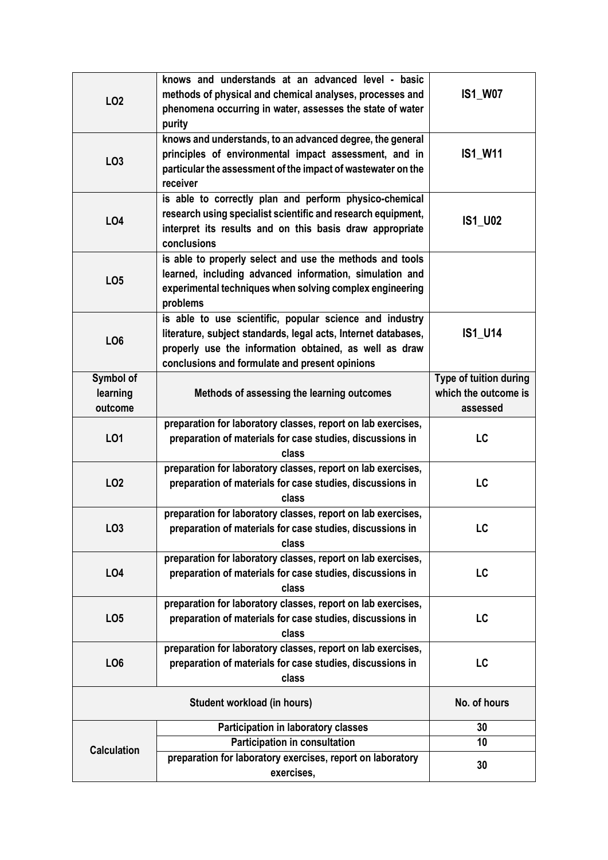| LO <sub>2</sub>                  | knows and understands at an advanced level - basic<br>methods of physical and chemical analyses, processes and<br>phenomena occurring in water, assesses the state of water<br>purity                                                 | <b>IS1_W07</b>                                             |
|----------------------------------|---------------------------------------------------------------------------------------------------------------------------------------------------------------------------------------------------------------------------------------|------------------------------------------------------------|
| LO <sub>3</sub>                  | knows and understands, to an advanced degree, the general<br>principles of environmental impact assessment, and in<br>particular the assessment of the impact of wastewater on the<br>receiver                                        | <b>IS1_W11</b>                                             |
| LO4                              | is able to correctly plan and perform physico-chemical<br>research using specialist scientific and research equipment,<br>interpret its results and on this basis draw appropriate<br>conclusions                                     | <b>IS1_U02</b>                                             |
| LO <sub>5</sub>                  | is able to properly select and use the methods and tools<br>learned, including advanced information, simulation and<br>experimental techniques when solving complex engineering<br>problems                                           |                                                            |
| LO <sub>6</sub>                  | is able to use scientific, popular science and industry<br>literature, subject standards, legal acts, Internet databases,<br>properly use the information obtained, as well as draw<br>conclusions and formulate and present opinions | <b>IS1_U14</b>                                             |
| Symbol of<br>learning<br>outcome | Methods of assessing the learning outcomes                                                                                                                                                                                            | Type of tuition during<br>which the outcome is<br>assessed |
| LO1                              | preparation for laboratory classes, report on lab exercises,<br>preparation of materials for case studies, discussions in<br>class                                                                                                    | LC                                                         |
| LO <sub>2</sub>                  | preparation for laboratory classes, report on lab exercises,<br>preparation of materials for case studies, discussions in<br>class                                                                                                    | LC                                                         |
| LO <sub>3</sub>                  | preparation for laboratory classes, report on lab exercises,<br>preparation of materials for case studies. discussions in<br>class                                                                                                    | LC                                                         |
| <b>LO4</b>                       | preparation for laboratory classes, report on lab exercises,<br>preparation of materials for case studies, discussions in<br>class                                                                                                    | LC                                                         |
| LO <sub>5</sub>                  | preparation for laboratory classes, report on lab exercises,<br>preparation of materials for case studies, discussions in<br>class                                                                                                    | LC                                                         |
| LO <sub>6</sub>                  | preparation for laboratory classes, report on lab exercises,<br>preparation of materials for case studies, discussions in<br>class                                                                                                    | LC                                                         |
|                                  | No. of hours                                                                                                                                                                                                                          |                                                            |
| <b>Calculation</b>               | <b>Participation in laboratory classes</b>                                                                                                                                                                                            | 30                                                         |
|                                  | Participation in consultation                                                                                                                                                                                                         | 10                                                         |
|                                  | preparation for laboratory exercises, report on laboratory<br>exercises,                                                                                                                                                              | 30                                                         |